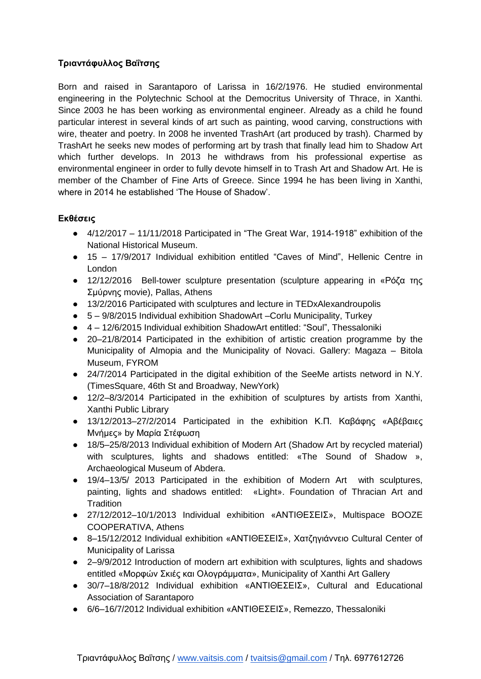## **Τριαντάυσλλος Βαΐτσης**

Born and raised in Sarantaporo of Larissa in 16/2/1976. He studied environmental engineering in the Polytechnic School at the Democritus University of Thrace, in Xanthi. Since 2003 he has been working as environmental engineer. Already as a child he found particular interest in several kinds of art such as painting, wood carving, constructions with wire, theater and poetry. In 2008 he invented TrashArt (art produced by trash). Charmed by TrashArt he seeks new modes of performing art by trash that finally lead him to Shadow Art which further develops. In 2013 he withdraws from his professional expertise as environmental engineer in order to fully devote himself in to Trash Art and Shadow Art. He is member of the Chamber of Fine Arts of Greece. Since 1994 he has been living in Xanthi, where in 2014 he established "The House of Shadow".

## **Εκθέσεις**

- 4/12/2017 11/11/2018 Participated in "The Great War, 1914-1918" exhibition of the National Historical Museum.
- 15 17/9/2017 Individual exhibition entitled "Caves of Mind", Hellenic Centre in London
- $\bullet$  12/12/2016 Bell-tower sculpture presentation (sculpture appearing in «Ρόζα της Σμύρνης movie), Pallas, Athens
- 13/2/2016 Participated with sculptures and lecture in TEDxAlexandroupolis
- 5 9/8/2015 Individual exhibition ShadowArt –Corlu Municipality, Σurkey
- 4 12/6/2015 Individual exhibition ShadowArt entitled: "Soul", Thessaloniki
- 20–21/8/2014 Participated in the exhibition of artistic creation programme by the Municipality of Almopia and the Municipality of Novaci. Gallery: Magaza – Bitola Museum, FYROM
- 24/7/2014 Participated in the digital exhibition of the SeeMe artists netword in N.Y. (TimesSquare, 46th St and Broadway, NewYork)
- 12/2–8/3/2014 Participated in the exhibition of sculptures by artists from Xanthi, Xanthi Public Library
- $\bullet$  13/12/2013–27/2/2014 Participated in the exhibition Κ.Π. Καβάφης «Αβέβαιες Μνήμες» by Μαρία Στέφωση
- 18/5–25/8/2013 Individual exhibition of Modern Art (Shadow Art by recycled material) with sculptures, lights and shadows entitled: «The Sound of Shadow », Archaeological Museum of Abdera.
- 19/4–13/5/ 2013 Participated in the exhibition of Modern Art with sculptures, painting, lights and shadows entitled: «Light». Foundation of Thracian Art and **Tradition**
- 27/12/2012–10/1/2013 Individual exhibition «ΑΝΣΘΘΕΕΘ», Multispace BOOZE COOPERATIVA, Athens
- $\bullet$  8-15/12/2012 Individual exhibition «ΑΝΤΙΘΕΣΕΙΣ», Χατζηγιάννειο Cultural Center of Municipality of Larissa
- 2–9/9/2012 Introduction of modern art exhibition with sculptures, lights and shadows entitled «Μορφών Σκιές και Ολογράμματα», Municipality of Xanthi Art Gallery
- 30/7–18/8/2012 Individual exhibition «ΑΝΣΘΘΕΕΘ», Cultural and Educational Association of Sarantaporo
- 6/6–16/7/2012 Individual exhibition «ΑΝΣΘΘΕΕΘ», Remezzo, Thessaloniki